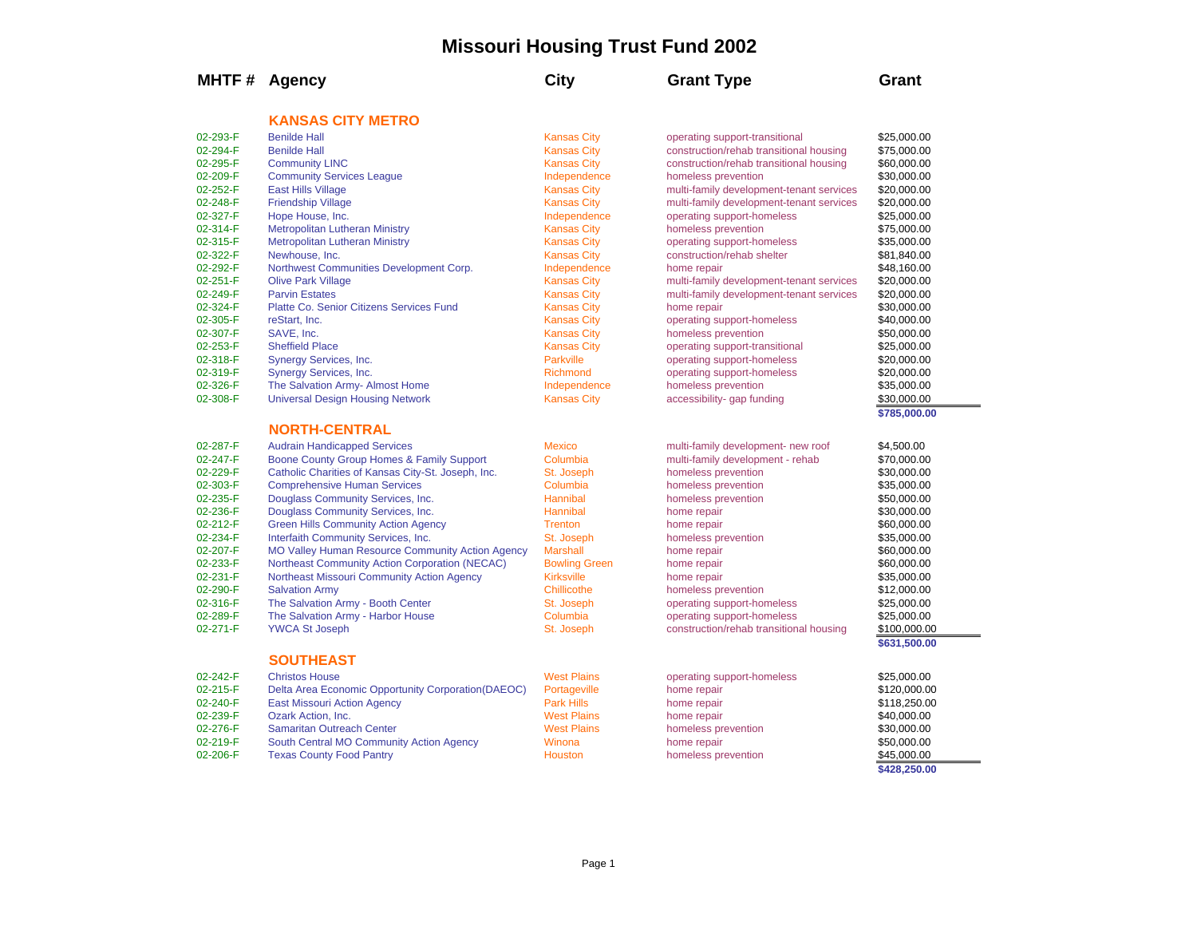## **Missouri Housing Trust Fund 2002**

| <b>KANSAS CITY METRO</b><br>02-293-F<br><b>Benilde Hall</b><br><b>Kansas City</b><br>\$25,000.00<br>operating support-transitional<br><b>Kansas City</b><br>02-294-F<br><b>Benilde Hall</b><br>construction/rehab transitional housing<br>\$75,000.00<br>02-295-F<br><b>Community LINC</b><br><b>Kansas City</b><br>construction/rehab transitional housing<br>\$60,000.00<br>02-209-F<br><b>Community Services League</b><br>Independence<br>\$30,000.00<br>homeless prevention<br>02-252-F<br><b>East Hills Village</b><br><b>Kansas City</b><br>multi-family development-tenant services<br>\$20,000.00<br>02-248-F<br><b>Friendship Village</b><br><b>Kansas City</b><br>\$20,000.00<br>multi-family development-tenant services<br>02-327-F<br>Hope House, Inc.<br>Independence<br>operating support-homeless<br>\$25,000.00<br>02-314-F<br><b>Metropolitan Lutheran Ministry</b><br><b>Kansas City</b><br>homeless prevention<br>\$75,000.00<br><b>Metropolitan Lutheran Ministry</b><br><b>Kansas City</b><br>02-315-F<br>operating support-homeless<br>\$35,000.00<br>02-322-F<br>Newhouse, Inc.<br><b>Kansas City</b><br>construction/rehab shelter<br>\$81,840.00<br>02-292-F<br>Northwest Communities Development Corp.<br>Independence<br>\$48,160.00<br>home repair<br>02-251-F<br><b>Olive Park Village</b><br><b>Kansas City</b><br>\$20,000.00<br>multi-family development-tenant services<br>02-249-F<br><b>Parvin Estates</b><br><b>Kansas City</b><br>multi-family development-tenant services<br>\$20,000.00<br>Platte Co. Senior Citizens Services Fund<br>02-324-F<br><b>Kansas City</b><br>home repair<br>\$30,000.00<br>02-305-F<br>reStart, Inc.<br><b>Kansas City</b><br>operating support-homeless<br>\$40,000.00<br>02-307-F<br>SAVE, Inc.<br><b>Kansas City</b><br>homeless prevention<br>\$50,000.00<br>02-253-F<br><b>Sheffield Place</b><br><b>Kansas City</b><br>operating support-transitional<br>\$25,000.00<br><b>Parkville</b><br>02-318-F<br><b>Synergy Services, Inc.</b><br>operating support-homeless<br>\$20,000.00<br>02-319-F<br>Synergy Services, Inc.<br><b>Richmond</b><br>operating support-homeless<br>\$20,000.00<br>02-326-F<br>The Salvation Army- Almost Home<br>Independence<br>homeless prevention<br>\$35,000.00<br>02-308-F<br><b>Universal Design Housing Network</b><br><b>Kansas City</b><br>accessibility- gap funding<br>\$30,000.00<br>\$785,000.00<br><b>NORTH-CENTRAL</b><br>02-287-F<br><b>Audrain Handicapped Services</b><br><b>Mexico</b><br>multi-family development- new roof<br>\$4,500.00<br>Boone County Group Homes & Family Support<br>02-247-F<br>Columbia<br>multi-family development - rehab<br>\$70,000.00<br>02-229-F<br>Catholic Charities of Kansas City-St. Joseph, Inc.<br>homeless prevention<br>St. Joseph<br>\$30,000.00<br>02-303-F<br><b>Comprehensive Human Services</b><br>Columbia<br>homeless prevention<br>\$35,000.00<br>02-235-F<br>Douglass Community Services, Inc.<br>Hannibal<br>homeless prevention<br>\$50,000.00<br>02-236-F<br>Douglass Community Services, Inc.<br>Hannibal<br>home repair<br>\$30,000.00<br>02-212-F<br><b>Green Hills Community Action Agency</b><br><b>Trenton</b><br>\$60,000.00<br>home repair<br>02-234-F<br>Interfaith Community Services, Inc.<br>St. Joseph<br>homeless prevention<br>\$35,000.00<br>02-207-F<br><b>MO Valley Human Resource Community Action Agency</b><br>\$60,000.00<br><b>Marshall</b><br>home repair<br>02-233-F<br>Northeast Community Action Corporation (NECAC)<br><b>Bowling Green</b><br>home repair<br>\$60,000.00<br>02-231-F<br>Northeast Missouri Community Action Agency<br><b>Kirksville</b><br>\$35,000.00<br>home repair<br>02-290-F<br><b>Salvation Army</b><br>Chillicothe<br>homeless prevention<br>\$12,000.00<br>02-316-F<br>The Salvation Army - Booth Center<br>\$25,000.00<br>St. Joseph<br>operating support-homeless<br>02-289-F<br>The Salvation Army - Harbor House<br>Columbia<br>operating support-homeless<br>\$25,000.00<br>02-271-F<br><b>YWCA St Joseph</b><br>St. Joseph<br>construction/rehab transitional housing<br>\$100,000.00<br>\$631,500.00<br><b>SOUTHEAST</b><br><b>West Plains</b><br><b>Christos House</b><br>02-242-F<br>operating support-homeless<br>\$25,000.00<br>02-215-F<br>Delta Area Economic Opportunity Corporation (DAEOC)<br>Portageville<br>home repair<br>\$120,000.00<br><b>Park Hills</b><br>02-240-F<br><b>East Missouri Action Agency</b><br>\$118,250.00<br>home repair<br>02-239-F<br><b>West Plains</b><br>Ozark Action, Inc.<br>\$40,000.00<br>home repair<br>02-276-F<br><b>West Plains</b><br><b>Samaritan Outreach Center</b><br>homeless prevention<br>\$30,000.00<br>02-219-F<br>South Central MO Community Action Agency<br>Winona<br>\$50,000.00<br>home repair<br>02-206-F<br><b>Texas County Food Pantry</b><br><b>Houston</b><br>homeless prevention<br>\$45,000.00 | MHTF # Agency | <b>City</b> | <b>Grant Type</b> | Grant        |
|----------------------------------------------------------------------------------------------------------------------------------------------------------------------------------------------------------------------------------------------------------------------------------------------------------------------------------------------------------------------------------------------------------------------------------------------------------------------------------------------------------------------------------------------------------------------------------------------------------------------------------------------------------------------------------------------------------------------------------------------------------------------------------------------------------------------------------------------------------------------------------------------------------------------------------------------------------------------------------------------------------------------------------------------------------------------------------------------------------------------------------------------------------------------------------------------------------------------------------------------------------------------------------------------------------------------------------------------------------------------------------------------------------------------------------------------------------------------------------------------------------------------------------------------------------------------------------------------------------------------------------------------------------------------------------------------------------------------------------------------------------------------------------------------------------------------------------------------------------------------------------------------------------------------------------------------------------------------------------------------------------------------------------------------------------------------------------------------------------------------------------------------------------------------------------------------------------------------------------------------------------------------------------------------------------------------------------------------------------------------------------------------------------------------------------------------------------------------------------------------------------------------------------------------------------------------------------------------------------------------------------------------------------------------------------------------------------------------------------------------------------------------------------------------------------------------------------------------------------------------------------------------------------------------------------------------------------------------------------------------------------------------------------------------------------------------------------------------------------------------------------------------------------------------------------------------------------------------------------------------------------------------------------------------------------------------------------------------------------------------------------------------------------------------------------------------------------------------------------------------------------------------------------------------------------------------------------------------------------------------------------------------------------------------------------------------------------------------------------------------------------------------------------------------------------------------------------------------------------------------------------------------------------------------------------------------------------------------------------------------------------------------------------------------------------------------------------------------------------------------------------------------------------------------------------------------------------------------------------------------------------------------------------------------------------------------------------------------------------------------------------------------------------------------------------------------------------------------------------------------------------------------------------------------------------------------------------------------------------------------------------------------------------------------------------------------------------------------------------------------------------------------------------------------------------------------------------------------------------------------------------------------------------|---------------|-------------|-------------------|--------------|
|                                                                                                                                                                                                                                                                                                                                                                                                                                                                                                                                                                                                                                                                                                                                                                                                                                                                                                                                                                                                                                                                                                                                                                                                                                                                                                                                                                                                                                                                                                                                                                                                                                                                                                                                                                                                                                                                                                                                                                                                                                                                                                                                                                                                                                                                                                                                                                                                                                                                                                                                                                                                                                                                                                                                                                                                                                                                                                                                                                                                                                                                                                                                                                                                                                                                                                                                                                                                                                                                                                                                                                                                                                                                                                                                                                                                                                                                                                                                                                                                                                                                                                                                                                                                                                                                                                                                                                                                                                                                                                                                                                                                                                                                                                                                                                                                                                                                                                          |               |             |                   |              |
|                                                                                                                                                                                                                                                                                                                                                                                                                                                                                                                                                                                                                                                                                                                                                                                                                                                                                                                                                                                                                                                                                                                                                                                                                                                                                                                                                                                                                                                                                                                                                                                                                                                                                                                                                                                                                                                                                                                                                                                                                                                                                                                                                                                                                                                                                                                                                                                                                                                                                                                                                                                                                                                                                                                                                                                                                                                                                                                                                                                                                                                                                                                                                                                                                                                                                                                                                                                                                                                                                                                                                                                                                                                                                                                                                                                                                                                                                                                                                                                                                                                                                                                                                                                                                                                                                                                                                                                                                                                                                                                                                                                                                                                                                                                                                                                                                                                                                                          |               |             |                   |              |
|                                                                                                                                                                                                                                                                                                                                                                                                                                                                                                                                                                                                                                                                                                                                                                                                                                                                                                                                                                                                                                                                                                                                                                                                                                                                                                                                                                                                                                                                                                                                                                                                                                                                                                                                                                                                                                                                                                                                                                                                                                                                                                                                                                                                                                                                                                                                                                                                                                                                                                                                                                                                                                                                                                                                                                                                                                                                                                                                                                                                                                                                                                                                                                                                                                                                                                                                                                                                                                                                                                                                                                                                                                                                                                                                                                                                                                                                                                                                                                                                                                                                                                                                                                                                                                                                                                                                                                                                                                                                                                                                                                                                                                                                                                                                                                                                                                                                                                          |               |             |                   |              |
|                                                                                                                                                                                                                                                                                                                                                                                                                                                                                                                                                                                                                                                                                                                                                                                                                                                                                                                                                                                                                                                                                                                                                                                                                                                                                                                                                                                                                                                                                                                                                                                                                                                                                                                                                                                                                                                                                                                                                                                                                                                                                                                                                                                                                                                                                                                                                                                                                                                                                                                                                                                                                                                                                                                                                                                                                                                                                                                                                                                                                                                                                                                                                                                                                                                                                                                                                                                                                                                                                                                                                                                                                                                                                                                                                                                                                                                                                                                                                                                                                                                                                                                                                                                                                                                                                                                                                                                                                                                                                                                                                                                                                                                                                                                                                                                                                                                                                                          |               |             |                   |              |
|                                                                                                                                                                                                                                                                                                                                                                                                                                                                                                                                                                                                                                                                                                                                                                                                                                                                                                                                                                                                                                                                                                                                                                                                                                                                                                                                                                                                                                                                                                                                                                                                                                                                                                                                                                                                                                                                                                                                                                                                                                                                                                                                                                                                                                                                                                                                                                                                                                                                                                                                                                                                                                                                                                                                                                                                                                                                                                                                                                                                                                                                                                                                                                                                                                                                                                                                                                                                                                                                                                                                                                                                                                                                                                                                                                                                                                                                                                                                                                                                                                                                                                                                                                                                                                                                                                                                                                                                                                                                                                                                                                                                                                                                                                                                                                                                                                                                                                          |               |             |                   |              |
|                                                                                                                                                                                                                                                                                                                                                                                                                                                                                                                                                                                                                                                                                                                                                                                                                                                                                                                                                                                                                                                                                                                                                                                                                                                                                                                                                                                                                                                                                                                                                                                                                                                                                                                                                                                                                                                                                                                                                                                                                                                                                                                                                                                                                                                                                                                                                                                                                                                                                                                                                                                                                                                                                                                                                                                                                                                                                                                                                                                                                                                                                                                                                                                                                                                                                                                                                                                                                                                                                                                                                                                                                                                                                                                                                                                                                                                                                                                                                                                                                                                                                                                                                                                                                                                                                                                                                                                                                                                                                                                                                                                                                                                                                                                                                                                                                                                                                                          |               |             |                   |              |
|                                                                                                                                                                                                                                                                                                                                                                                                                                                                                                                                                                                                                                                                                                                                                                                                                                                                                                                                                                                                                                                                                                                                                                                                                                                                                                                                                                                                                                                                                                                                                                                                                                                                                                                                                                                                                                                                                                                                                                                                                                                                                                                                                                                                                                                                                                                                                                                                                                                                                                                                                                                                                                                                                                                                                                                                                                                                                                                                                                                                                                                                                                                                                                                                                                                                                                                                                                                                                                                                                                                                                                                                                                                                                                                                                                                                                                                                                                                                                                                                                                                                                                                                                                                                                                                                                                                                                                                                                                                                                                                                                                                                                                                                                                                                                                                                                                                                                                          |               |             |                   |              |
|                                                                                                                                                                                                                                                                                                                                                                                                                                                                                                                                                                                                                                                                                                                                                                                                                                                                                                                                                                                                                                                                                                                                                                                                                                                                                                                                                                                                                                                                                                                                                                                                                                                                                                                                                                                                                                                                                                                                                                                                                                                                                                                                                                                                                                                                                                                                                                                                                                                                                                                                                                                                                                                                                                                                                                                                                                                                                                                                                                                                                                                                                                                                                                                                                                                                                                                                                                                                                                                                                                                                                                                                                                                                                                                                                                                                                                                                                                                                                                                                                                                                                                                                                                                                                                                                                                                                                                                                                                                                                                                                                                                                                                                                                                                                                                                                                                                                                                          |               |             |                   |              |
|                                                                                                                                                                                                                                                                                                                                                                                                                                                                                                                                                                                                                                                                                                                                                                                                                                                                                                                                                                                                                                                                                                                                                                                                                                                                                                                                                                                                                                                                                                                                                                                                                                                                                                                                                                                                                                                                                                                                                                                                                                                                                                                                                                                                                                                                                                                                                                                                                                                                                                                                                                                                                                                                                                                                                                                                                                                                                                                                                                                                                                                                                                                                                                                                                                                                                                                                                                                                                                                                                                                                                                                                                                                                                                                                                                                                                                                                                                                                                                                                                                                                                                                                                                                                                                                                                                                                                                                                                                                                                                                                                                                                                                                                                                                                                                                                                                                                                                          |               |             |                   |              |
|                                                                                                                                                                                                                                                                                                                                                                                                                                                                                                                                                                                                                                                                                                                                                                                                                                                                                                                                                                                                                                                                                                                                                                                                                                                                                                                                                                                                                                                                                                                                                                                                                                                                                                                                                                                                                                                                                                                                                                                                                                                                                                                                                                                                                                                                                                                                                                                                                                                                                                                                                                                                                                                                                                                                                                                                                                                                                                                                                                                                                                                                                                                                                                                                                                                                                                                                                                                                                                                                                                                                                                                                                                                                                                                                                                                                                                                                                                                                                                                                                                                                                                                                                                                                                                                                                                                                                                                                                                                                                                                                                                                                                                                                                                                                                                                                                                                                                                          |               |             |                   |              |
|                                                                                                                                                                                                                                                                                                                                                                                                                                                                                                                                                                                                                                                                                                                                                                                                                                                                                                                                                                                                                                                                                                                                                                                                                                                                                                                                                                                                                                                                                                                                                                                                                                                                                                                                                                                                                                                                                                                                                                                                                                                                                                                                                                                                                                                                                                                                                                                                                                                                                                                                                                                                                                                                                                                                                                                                                                                                                                                                                                                                                                                                                                                                                                                                                                                                                                                                                                                                                                                                                                                                                                                                                                                                                                                                                                                                                                                                                                                                                                                                                                                                                                                                                                                                                                                                                                                                                                                                                                                                                                                                                                                                                                                                                                                                                                                                                                                                                                          |               |             |                   |              |
|                                                                                                                                                                                                                                                                                                                                                                                                                                                                                                                                                                                                                                                                                                                                                                                                                                                                                                                                                                                                                                                                                                                                                                                                                                                                                                                                                                                                                                                                                                                                                                                                                                                                                                                                                                                                                                                                                                                                                                                                                                                                                                                                                                                                                                                                                                                                                                                                                                                                                                                                                                                                                                                                                                                                                                                                                                                                                                                                                                                                                                                                                                                                                                                                                                                                                                                                                                                                                                                                                                                                                                                                                                                                                                                                                                                                                                                                                                                                                                                                                                                                                                                                                                                                                                                                                                                                                                                                                                                                                                                                                                                                                                                                                                                                                                                                                                                                                                          |               |             |                   |              |
|                                                                                                                                                                                                                                                                                                                                                                                                                                                                                                                                                                                                                                                                                                                                                                                                                                                                                                                                                                                                                                                                                                                                                                                                                                                                                                                                                                                                                                                                                                                                                                                                                                                                                                                                                                                                                                                                                                                                                                                                                                                                                                                                                                                                                                                                                                                                                                                                                                                                                                                                                                                                                                                                                                                                                                                                                                                                                                                                                                                                                                                                                                                                                                                                                                                                                                                                                                                                                                                                                                                                                                                                                                                                                                                                                                                                                                                                                                                                                                                                                                                                                                                                                                                                                                                                                                                                                                                                                                                                                                                                                                                                                                                                                                                                                                                                                                                                                                          |               |             |                   |              |
|                                                                                                                                                                                                                                                                                                                                                                                                                                                                                                                                                                                                                                                                                                                                                                                                                                                                                                                                                                                                                                                                                                                                                                                                                                                                                                                                                                                                                                                                                                                                                                                                                                                                                                                                                                                                                                                                                                                                                                                                                                                                                                                                                                                                                                                                                                                                                                                                                                                                                                                                                                                                                                                                                                                                                                                                                                                                                                                                                                                                                                                                                                                                                                                                                                                                                                                                                                                                                                                                                                                                                                                                                                                                                                                                                                                                                                                                                                                                                                                                                                                                                                                                                                                                                                                                                                                                                                                                                                                                                                                                                                                                                                                                                                                                                                                                                                                                                                          |               |             |                   |              |
|                                                                                                                                                                                                                                                                                                                                                                                                                                                                                                                                                                                                                                                                                                                                                                                                                                                                                                                                                                                                                                                                                                                                                                                                                                                                                                                                                                                                                                                                                                                                                                                                                                                                                                                                                                                                                                                                                                                                                                                                                                                                                                                                                                                                                                                                                                                                                                                                                                                                                                                                                                                                                                                                                                                                                                                                                                                                                                                                                                                                                                                                                                                                                                                                                                                                                                                                                                                                                                                                                                                                                                                                                                                                                                                                                                                                                                                                                                                                                                                                                                                                                                                                                                                                                                                                                                                                                                                                                                                                                                                                                                                                                                                                                                                                                                                                                                                                                                          |               |             |                   |              |
|                                                                                                                                                                                                                                                                                                                                                                                                                                                                                                                                                                                                                                                                                                                                                                                                                                                                                                                                                                                                                                                                                                                                                                                                                                                                                                                                                                                                                                                                                                                                                                                                                                                                                                                                                                                                                                                                                                                                                                                                                                                                                                                                                                                                                                                                                                                                                                                                                                                                                                                                                                                                                                                                                                                                                                                                                                                                                                                                                                                                                                                                                                                                                                                                                                                                                                                                                                                                                                                                                                                                                                                                                                                                                                                                                                                                                                                                                                                                                                                                                                                                                                                                                                                                                                                                                                                                                                                                                                                                                                                                                                                                                                                                                                                                                                                                                                                                                                          |               |             |                   |              |
|                                                                                                                                                                                                                                                                                                                                                                                                                                                                                                                                                                                                                                                                                                                                                                                                                                                                                                                                                                                                                                                                                                                                                                                                                                                                                                                                                                                                                                                                                                                                                                                                                                                                                                                                                                                                                                                                                                                                                                                                                                                                                                                                                                                                                                                                                                                                                                                                                                                                                                                                                                                                                                                                                                                                                                                                                                                                                                                                                                                                                                                                                                                                                                                                                                                                                                                                                                                                                                                                                                                                                                                                                                                                                                                                                                                                                                                                                                                                                                                                                                                                                                                                                                                                                                                                                                                                                                                                                                                                                                                                                                                                                                                                                                                                                                                                                                                                                                          |               |             |                   |              |
|                                                                                                                                                                                                                                                                                                                                                                                                                                                                                                                                                                                                                                                                                                                                                                                                                                                                                                                                                                                                                                                                                                                                                                                                                                                                                                                                                                                                                                                                                                                                                                                                                                                                                                                                                                                                                                                                                                                                                                                                                                                                                                                                                                                                                                                                                                                                                                                                                                                                                                                                                                                                                                                                                                                                                                                                                                                                                                                                                                                                                                                                                                                                                                                                                                                                                                                                                                                                                                                                                                                                                                                                                                                                                                                                                                                                                                                                                                                                                                                                                                                                                                                                                                                                                                                                                                                                                                                                                                                                                                                                                                                                                                                                                                                                                                                                                                                                                                          |               |             |                   |              |
|                                                                                                                                                                                                                                                                                                                                                                                                                                                                                                                                                                                                                                                                                                                                                                                                                                                                                                                                                                                                                                                                                                                                                                                                                                                                                                                                                                                                                                                                                                                                                                                                                                                                                                                                                                                                                                                                                                                                                                                                                                                                                                                                                                                                                                                                                                                                                                                                                                                                                                                                                                                                                                                                                                                                                                                                                                                                                                                                                                                                                                                                                                                                                                                                                                                                                                                                                                                                                                                                                                                                                                                                                                                                                                                                                                                                                                                                                                                                                                                                                                                                                                                                                                                                                                                                                                                                                                                                                                                                                                                                                                                                                                                                                                                                                                                                                                                                                                          |               |             |                   |              |
|                                                                                                                                                                                                                                                                                                                                                                                                                                                                                                                                                                                                                                                                                                                                                                                                                                                                                                                                                                                                                                                                                                                                                                                                                                                                                                                                                                                                                                                                                                                                                                                                                                                                                                                                                                                                                                                                                                                                                                                                                                                                                                                                                                                                                                                                                                                                                                                                                                                                                                                                                                                                                                                                                                                                                                                                                                                                                                                                                                                                                                                                                                                                                                                                                                                                                                                                                                                                                                                                                                                                                                                                                                                                                                                                                                                                                                                                                                                                                                                                                                                                                                                                                                                                                                                                                                                                                                                                                                                                                                                                                                                                                                                                                                                                                                                                                                                                                                          |               |             |                   |              |
|                                                                                                                                                                                                                                                                                                                                                                                                                                                                                                                                                                                                                                                                                                                                                                                                                                                                                                                                                                                                                                                                                                                                                                                                                                                                                                                                                                                                                                                                                                                                                                                                                                                                                                                                                                                                                                                                                                                                                                                                                                                                                                                                                                                                                                                                                                                                                                                                                                                                                                                                                                                                                                                                                                                                                                                                                                                                                                                                                                                                                                                                                                                                                                                                                                                                                                                                                                                                                                                                                                                                                                                                                                                                                                                                                                                                                                                                                                                                                                                                                                                                                                                                                                                                                                                                                                                                                                                                                                                                                                                                                                                                                                                                                                                                                                                                                                                                                                          |               |             |                   |              |
|                                                                                                                                                                                                                                                                                                                                                                                                                                                                                                                                                                                                                                                                                                                                                                                                                                                                                                                                                                                                                                                                                                                                                                                                                                                                                                                                                                                                                                                                                                                                                                                                                                                                                                                                                                                                                                                                                                                                                                                                                                                                                                                                                                                                                                                                                                                                                                                                                                                                                                                                                                                                                                                                                                                                                                                                                                                                                                                                                                                                                                                                                                                                                                                                                                                                                                                                                                                                                                                                                                                                                                                                                                                                                                                                                                                                                                                                                                                                                                                                                                                                                                                                                                                                                                                                                                                                                                                                                                                                                                                                                                                                                                                                                                                                                                                                                                                                                                          |               |             |                   |              |
|                                                                                                                                                                                                                                                                                                                                                                                                                                                                                                                                                                                                                                                                                                                                                                                                                                                                                                                                                                                                                                                                                                                                                                                                                                                                                                                                                                                                                                                                                                                                                                                                                                                                                                                                                                                                                                                                                                                                                                                                                                                                                                                                                                                                                                                                                                                                                                                                                                                                                                                                                                                                                                                                                                                                                                                                                                                                                                                                                                                                                                                                                                                                                                                                                                                                                                                                                                                                                                                                                                                                                                                                                                                                                                                                                                                                                                                                                                                                                                                                                                                                                                                                                                                                                                                                                                                                                                                                                                                                                                                                                                                                                                                                                                                                                                                                                                                                                                          |               |             |                   |              |
|                                                                                                                                                                                                                                                                                                                                                                                                                                                                                                                                                                                                                                                                                                                                                                                                                                                                                                                                                                                                                                                                                                                                                                                                                                                                                                                                                                                                                                                                                                                                                                                                                                                                                                                                                                                                                                                                                                                                                                                                                                                                                                                                                                                                                                                                                                                                                                                                                                                                                                                                                                                                                                                                                                                                                                                                                                                                                                                                                                                                                                                                                                                                                                                                                                                                                                                                                                                                                                                                                                                                                                                                                                                                                                                                                                                                                                                                                                                                                                                                                                                                                                                                                                                                                                                                                                                                                                                                                                                                                                                                                                                                                                                                                                                                                                                                                                                                                                          |               |             |                   |              |
|                                                                                                                                                                                                                                                                                                                                                                                                                                                                                                                                                                                                                                                                                                                                                                                                                                                                                                                                                                                                                                                                                                                                                                                                                                                                                                                                                                                                                                                                                                                                                                                                                                                                                                                                                                                                                                                                                                                                                                                                                                                                                                                                                                                                                                                                                                                                                                                                                                                                                                                                                                                                                                                                                                                                                                                                                                                                                                                                                                                                                                                                                                                                                                                                                                                                                                                                                                                                                                                                                                                                                                                                                                                                                                                                                                                                                                                                                                                                                                                                                                                                                                                                                                                                                                                                                                                                                                                                                                                                                                                                                                                                                                                                                                                                                                                                                                                                                                          |               |             |                   |              |
|                                                                                                                                                                                                                                                                                                                                                                                                                                                                                                                                                                                                                                                                                                                                                                                                                                                                                                                                                                                                                                                                                                                                                                                                                                                                                                                                                                                                                                                                                                                                                                                                                                                                                                                                                                                                                                                                                                                                                                                                                                                                                                                                                                                                                                                                                                                                                                                                                                                                                                                                                                                                                                                                                                                                                                                                                                                                                                                                                                                                                                                                                                                                                                                                                                                                                                                                                                                                                                                                                                                                                                                                                                                                                                                                                                                                                                                                                                                                                                                                                                                                                                                                                                                                                                                                                                                                                                                                                                                                                                                                                                                                                                                                                                                                                                                                                                                                                                          |               |             |                   |              |
|                                                                                                                                                                                                                                                                                                                                                                                                                                                                                                                                                                                                                                                                                                                                                                                                                                                                                                                                                                                                                                                                                                                                                                                                                                                                                                                                                                                                                                                                                                                                                                                                                                                                                                                                                                                                                                                                                                                                                                                                                                                                                                                                                                                                                                                                                                                                                                                                                                                                                                                                                                                                                                                                                                                                                                                                                                                                                                                                                                                                                                                                                                                                                                                                                                                                                                                                                                                                                                                                                                                                                                                                                                                                                                                                                                                                                                                                                                                                                                                                                                                                                                                                                                                                                                                                                                                                                                                                                                                                                                                                                                                                                                                                                                                                                                                                                                                                                                          |               |             |                   |              |
|                                                                                                                                                                                                                                                                                                                                                                                                                                                                                                                                                                                                                                                                                                                                                                                                                                                                                                                                                                                                                                                                                                                                                                                                                                                                                                                                                                                                                                                                                                                                                                                                                                                                                                                                                                                                                                                                                                                                                                                                                                                                                                                                                                                                                                                                                                                                                                                                                                                                                                                                                                                                                                                                                                                                                                                                                                                                                                                                                                                                                                                                                                                                                                                                                                                                                                                                                                                                                                                                                                                                                                                                                                                                                                                                                                                                                                                                                                                                                                                                                                                                                                                                                                                                                                                                                                                                                                                                                                                                                                                                                                                                                                                                                                                                                                                                                                                                                                          |               |             |                   |              |
|                                                                                                                                                                                                                                                                                                                                                                                                                                                                                                                                                                                                                                                                                                                                                                                                                                                                                                                                                                                                                                                                                                                                                                                                                                                                                                                                                                                                                                                                                                                                                                                                                                                                                                                                                                                                                                                                                                                                                                                                                                                                                                                                                                                                                                                                                                                                                                                                                                                                                                                                                                                                                                                                                                                                                                                                                                                                                                                                                                                                                                                                                                                                                                                                                                                                                                                                                                                                                                                                                                                                                                                                                                                                                                                                                                                                                                                                                                                                                                                                                                                                                                                                                                                                                                                                                                                                                                                                                                                                                                                                                                                                                                                                                                                                                                                                                                                                                                          |               |             |                   |              |
|                                                                                                                                                                                                                                                                                                                                                                                                                                                                                                                                                                                                                                                                                                                                                                                                                                                                                                                                                                                                                                                                                                                                                                                                                                                                                                                                                                                                                                                                                                                                                                                                                                                                                                                                                                                                                                                                                                                                                                                                                                                                                                                                                                                                                                                                                                                                                                                                                                                                                                                                                                                                                                                                                                                                                                                                                                                                                                                                                                                                                                                                                                                                                                                                                                                                                                                                                                                                                                                                                                                                                                                                                                                                                                                                                                                                                                                                                                                                                                                                                                                                                                                                                                                                                                                                                                                                                                                                                                                                                                                                                                                                                                                                                                                                                                                                                                                                                                          |               |             |                   |              |
|                                                                                                                                                                                                                                                                                                                                                                                                                                                                                                                                                                                                                                                                                                                                                                                                                                                                                                                                                                                                                                                                                                                                                                                                                                                                                                                                                                                                                                                                                                                                                                                                                                                                                                                                                                                                                                                                                                                                                                                                                                                                                                                                                                                                                                                                                                                                                                                                                                                                                                                                                                                                                                                                                                                                                                                                                                                                                                                                                                                                                                                                                                                                                                                                                                                                                                                                                                                                                                                                                                                                                                                                                                                                                                                                                                                                                                                                                                                                                                                                                                                                                                                                                                                                                                                                                                                                                                                                                                                                                                                                                                                                                                                                                                                                                                                                                                                                                                          |               |             |                   |              |
|                                                                                                                                                                                                                                                                                                                                                                                                                                                                                                                                                                                                                                                                                                                                                                                                                                                                                                                                                                                                                                                                                                                                                                                                                                                                                                                                                                                                                                                                                                                                                                                                                                                                                                                                                                                                                                                                                                                                                                                                                                                                                                                                                                                                                                                                                                                                                                                                                                                                                                                                                                                                                                                                                                                                                                                                                                                                                                                                                                                                                                                                                                                                                                                                                                                                                                                                                                                                                                                                                                                                                                                                                                                                                                                                                                                                                                                                                                                                                                                                                                                                                                                                                                                                                                                                                                                                                                                                                                                                                                                                                                                                                                                                                                                                                                                                                                                                                                          |               |             |                   |              |
|                                                                                                                                                                                                                                                                                                                                                                                                                                                                                                                                                                                                                                                                                                                                                                                                                                                                                                                                                                                                                                                                                                                                                                                                                                                                                                                                                                                                                                                                                                                                                                                                                                                                                                                                                                                                                                                                                                                                                                                                                                                                                                                                                                                                                                                                                                                                                                                                                                                                                                                                                                                                                                                                                                                                                                                                                                                                                                                                                                                                                                                                                                                                                                                                                                                                                                                                                                                                                                                                                                                                                                                                                                                                                                                                                                                                                                                                                                                                                                                                                                                                                                                                                                                                                                                                                                                                                                                                                                                                                                                                                                                                                                                                                                                                                                                                                                                                                                          |               |             |                   |              |
|                                                                                                                                                                                                                                                                                                                                                                                                                                                                                                                                                                                                                                                                                                                                                                                                                                                                                                                                                                                                                                                                                                                                                                                                                                                                                                                                                                                                                                                                                                                                                                                                                                                                                                                                                                                                                                                                                                                                                                                                                                                                                                                                                                                                                                                                                                                                                                                                                                                                                                                                                                                                                                                                                                                                                                                                                                                                                                                                                                                                                                                                                                                                                                                                                                                                                                                                                                                                                                                                                                                                                                                                                                                                                                                                                                                                                                                                                                                                                                                                                                                                                                                                                                                                                                                                                                                                                                                                                                                                                                                                                                                                                                                                                                                                                                                                                                                                                                          |               |             |                   |              |
|                                                                                                                                                                                                                                                                                                                                                                                                                                                                                                                                                                                                                                                                                                                                                                                                                                                                                                                                                                                                                                                                                                                                                                                                                                                                                                                                                                                                                                                                                                                                                                                                                                                                                                                                                                                                                                                                                                                                                                                                                                                                                                                                                                                                                                                                                                                                                                                                                                                                                                                                                                                                                                                                                                                                                                                                                                                                                                                                                                                                                                                                                                                                                                                                                                                                                                                                                                                                                                                                                                                                                                                                                                                                                                                                                                                                                                                                                                                                                                                                                                                                                                                                                                                                                                                                                                                                                                                                                                                                                                                                                                                                                                                                                                                                                                                                                                                                                                          |               |             |                   |              |
|                                                                                                                                                                                                                                                                                                                                                                                                                                                                                                                                                                                                                                                                                                                                                                                                                                                                                                                                                                                                                                                                                                                                                                                                                                                                                                                                                                                                                                                                                                                                                                                                                                                                                                                                                                                                                                                                                                                                                                                                                                                                                                                                                                                                                                                                                                                                                                                                                                                                                                                                                                                                                                                                                                                                                                                                                                                                                                                                                                                                                                                                                                                                                                                                                                                                                                                                                                                                                                                                                                                                                                                                                                                                                                                                                                                                                                                                                                                                                                                                                                                                                                                                                                                                                                                                                                                                                                                                                                                                                                                                                                                                                                                                                                                                                                                                                                                                                                          |               |             |                   |              |
|                                                                                                                                                                                                                                                                                                                                                                                                                                                                                                                                                                                                                                                                                                                                                                                                                                                                                                                                                                                                                                                                                                                                                                                                                                                                                                                                                                                                                                                                                                                                                                                                                                                                                                                                                                                                                                                                                                                                                                                                                                                                                                                                                                                                                                                                                                                                                                                                                                                                                                                                                                                                                                                                                                                                                                                                                                                                                                                                                                                                                                                                                                                                                                                                                                                                                                                                                                                                                                                                                                                                                                                                                                                                                                                                                                                                                                                                                                                                                                                                                                                                                                                                                                                                                                                                                                                                                                                                                                                                                                                                                                                                                                                                                                                                                                                                                                                                                                          |               |             |                   |              |
|                                                                                                                                                                                                                                                                                                                                                                                                                                                                                                                                                                                                                                                                                                                                                                                                                                                                                                                                                                                                                                                                                                                                                                                                                                                                                                                                                                                                                                                                                                                                                                                                                                                                                                                                                                                                                                                                                                                                                                                                                                                                                                                                                                                                                                                                                                                                                                                                                                                                                                                                                                                                                                                                                                                                                                                                                                                                                                                                                                                                                                                                                                                                                                                                                                                                                                                                                                                                                                                                                                                                                                                                                                                                                                                                                                                                                                                                                                                                                                                                                                                                                                                                                                                                                                                                                                                                                                                                                                                                                                                                                                                                                                                                                                                                                                                                                                                                                                          |               |             |                   |              |
|                                                                                                                                                                                                                                                                                                                                                                                                                                                                                                                                                                                                                                                                                                                                                                                                                                                                                                                                                                                                                                                                                                                                                                                                                                                                                                                                                                                                                                                                                                                                                                                                                                                                                                                                                                                                                                                                                                                                                                                                                                                                                                                                                                                                                                                                                                                                                                                                                                                                                                                                                                                                                                                                                                                                                                                                                                                                                                                                                                                                                                                                                                                                                                                                                                                                                                                                                                                                                                                                                                                                                                                                                                                                                                                                                                                                                                                                                                                                                                                                                                                                                                                                                                                                                                                                                                                                                                                                                                                                                                                                                                                                                                                                                                                                                                                                                                                                                                          |               |             |                   |              |
|                                                                                                                                                                                                                                                                                                                                                                                                                                                                                                                                                                                                                                                                                                                                                                                                                                                                                                                                                                                                                                                                                                                                                                                                                                                                                                                                                                                                                                                                                                                                                                                                                                                                                                                                                                                                                                                                                                                                                                                                                                                                                                                                                                                                                                                                                                                                                                                                                                                                                                                                                                                                                                                                                                                                                                                                                                                                                                                                                                                                                                                                                                                                                                                                                                                                                                                                                                                                                                                                                                                                                                                                                                                                                                                                                                                                                                                                                                                                                                                                                                                                                                                                                                                                                                                                                                                                                                                                                                                                                                                                                                                                                                                                                                                                                                                                                                                                                                          |               |             |                   |              |
|                                                                                                                                                                                                                                                                                                                                                                                                                                                                                                                                                                                                                                                                                                                                                                                                                                                                                                                                                                                                                                                                                                                                                                                                                                                                                                                                                                                                                                                                                                                                                                                                                                                                                                                                                                                                                                                                                                                                                                                                                                                                                                                                                                                                                                                                                                                                                                                                                                                                                                                                                                                                                                                                                                                                                                                                                                                                                                                                                                                                                                                                                                                                                                                                                                                                                                                                                                                                                                                                                                                                                                                                                                                                                                                                                                                                                                                                                                                                                                                                                                                                                                                                                                                                                                                                                                                                                                                                                                                                                                                                                                                                                                                                                                                                                                                                                                                                                                          |               |             |                   |              |
|                                                                                                                                                                                                                                                                                                                                                                                                                                                                                                                                                                                                                                                                                                                                                                                                                                                                                                                                                                                                                                                                                                                                                                                                                                                                                                                                                                                                                                                                                                                                                                                                                                                                                                                                                                                                                                                                                                                                                                                                                                                                                                                                                                                                                                                                                                                                                                                                                                                                                                                                                                                                                                                                                                                                                                                                                                                                                                                                                                                                                                                                                                                                                                                                                                                                                                                                                                                                                                                                                                                                                                                                                                                                                                                                                                                                                                                                                                                                                                                                                                                                                                                                                                                                                                                                                                                                                                                                                                                                                                                                                                                                                                                                                                                                                                                                                                                                                                          |               |             |                   |              |
|                                                                                                                                                                                                                                                                                                                                                                                                                                                                                                                                                                                                                                                                                                                                                                                                                                                                                                                                                                                                                                                                                                                                                                                                                                                                                                                                                                                                                                                                                                                                                                                                                                                                                                                                                                                                                                                                                                                                                                                                                                                                                                                                                                                                                                                                                                                                                                                                                                                                                                                                                                                                                                                                                                                                                                                                                                                                                                                                                                                                                                                                                                                                                                                                                                                                                                                                                                                                                                                                                                                                                                                                                                                                                                                                                                                                                                                                                                                                                                                                                                                                                                                                                                                                                                                                                                                                                                                                                                                                                                                                                                                                                                                                                                                                                                                                                                                                                                          |               |             |                   |              |
|                                                                                                                                                                                                                                                                                                                                                                                                                                                                                                                                                                                                                                                                                                                                                                                                                                                                                                                                                                                                                                                                                                                                                                                                                                                                                                                                                                                                                                                                                                                                                                                                                                                                                                                                                                                                                                                                                                                                                                                                                                                                                                                                                                                                                                                                                                                                                                                                                                                                                                                                                                                                                                                                                                                                                                                                                                                                                                                                                                                                                                                                                                                                                                                                                                                                                                                                                                                                                                                                                                                                                                                                                                                                                                                                                                                                                                                                                                                                                                                                                                                                                                                                                                                                                                                                                                                                                                                                                                                                                                                                                                                                                                                                                                                                                                                                                                                                                                          |               |             |                   |              |
|                                                                                                                                                                                                                                                                                                                                                                                                                                                                                                                                                                                                                                                                                                                                                                                                                                                                                                                                                                                                                                                                                                                                                                                                                                                                                                                                                                                                                                                                                                                                                                                                                                                                                                                                                                                                                                                                                                                                                                                                                                                                                                                                                                                                                                                                                                                                                                                                                                                                                                                                                                                                                                                                                                                                                                                                                                                                                                                                                                                                                                                                                                                                                                                                                                                                                                                                                                                                                                                                                                                                                                                                                                                                                                                                                                                                                                                                                                                                                                                                                                                                                                                                                                                                                                                                                                                                                                                                                                                                                                                                                                                                                                                                                                                                                                                                                                                                                                          |               |             |                   |              |
|                                                                                                                                                                                                                                                                                                                                                                                                                                                                                                                                                                                                                                                                                                                                                                                                                                                                                                                                                                                                                                                                                                                                                                                                                                                                                                                                                                                                                                                                                                                                                                                                                                                                                                                                                                                                                                                                                                                                                                                                                                                                                                                                                                                                                                                                                                                                                                                                                                                                                                                                                                                                                                                                                                                                                                                                                                                                                                                                                                                                                                                                                                                                                                                                                                                                                                                                                                                                                                                                                                                                                                                                                                                                                                                                                                                                                                                                                                                                                                                                                                                                                                                                                                                                                                                                                                                                                                                                                                                                                                                                                                                                                                                                                                                                                                                                                                                                                                          |               |             |                   |              |
|                                                                                                                                                                                                                                                                                                                                                                                                                                                                                                                                                                                                                                                                                                                                                                                                                                                                                                                                                                                                                                                                                                                                                                                                                                                                                                                                                                                                                                                                                                                                                                                                                                                                                                                                                                                                                                                                                                                                                                                                                                                                                                                                                                                                                                                                                                                                                                                                                                                                                                                                                                                                                                                                                                                                                                                                                                                                                                                                                                                                                                                                                                                                                                                                                                                                                                                                                                                                                                                                                                                                                                                                                                                                                                                                                                                                                                                                                                                                                                                                                                                                                                                                                                                                                                                                                                                                                                                                                                                                                                                                                                                                                                                                                                                                                                                                                                                                                                          |               |             |                   |              |
|                                                                                                                                                                                                                                                                                                                                                                                                                                                                                                                                                                                                                                                                                                                                                                                                                                                                                                                                                                                                                                                                                                                                                                                                                                                                                                                                                                                                                                                                                                                                                                                                                                                                                                                                                                                                                                                                                                                                                                                                                                                                                                                                                                                                                                                                                                                                                                                                                                                                                                                                                                                                                                                                                                                                                                                                                                                                                                                                                                                                                                                                                                                                                                                                                                                                                                                                                                                                                                                                                                                                                                                                                                                                                                                                                                                                                                                                                                                                                                                                                                                                                                                                                                                                                                                                                                                                                                                                                                                                                                                                                                                                                                                                                                                                                                                                                                                                                                          |               |             |                   |              |
|                                                                                                                                                                                                                                                                                                                                                                                                                                                                                                                                                                                                                                                                                                                                                                                                                                                                                                                                                                                                                                                                                                                                                                                                                                                                                                                                                                                                                                                                                                                                                                                                                                                                                                                                                                                                                                                                                                                                                                                                                                                                                                                                                                                                                                                                                                                                                                                                                                                                                                                                                                                                                                                                                                                                                                                                                                                                                                                                                                                                                                                                                                                                                                                                                                                                                                                                                                                                                                                                                                                                                                                                                                                                                                                                                                                                                                                                                                                                                                                                                                                                                                                                                                                                                                                                                                                                                                                                                                                                                                                                                                                                                                                                                                                                                                                                                                                                                                          |               |             |                   |              |
|                                                                                                                                                                                                                                                                                                                                                                                                                                                                                                                                                                                                                                                                                                                                                                                                                                                                                                                                                                                                                                                                                                                                                                                                                                                                                                                                                                                                                                                                                                                                                                                                                                                                                                                                                                                                                                                                                                                                                                                                                                                                                                                                                                                                                                                                                                                                                                                                                                                                                                                                                                                                                                                                                                                                                                                                                                                                                                                                                                                                                                                                                                                                                                                                                                                                                                                                                                                                                                                                                                                                                                                                                                                                                                                                                                                                                                                                                                                                                                                                                                                                                                                                                                                                                                                                                                                                                                                                                                                                                                                                                                                                                                                                                                                                                                                                                                                                                                          |               |             |                   | \$428,250.00 |